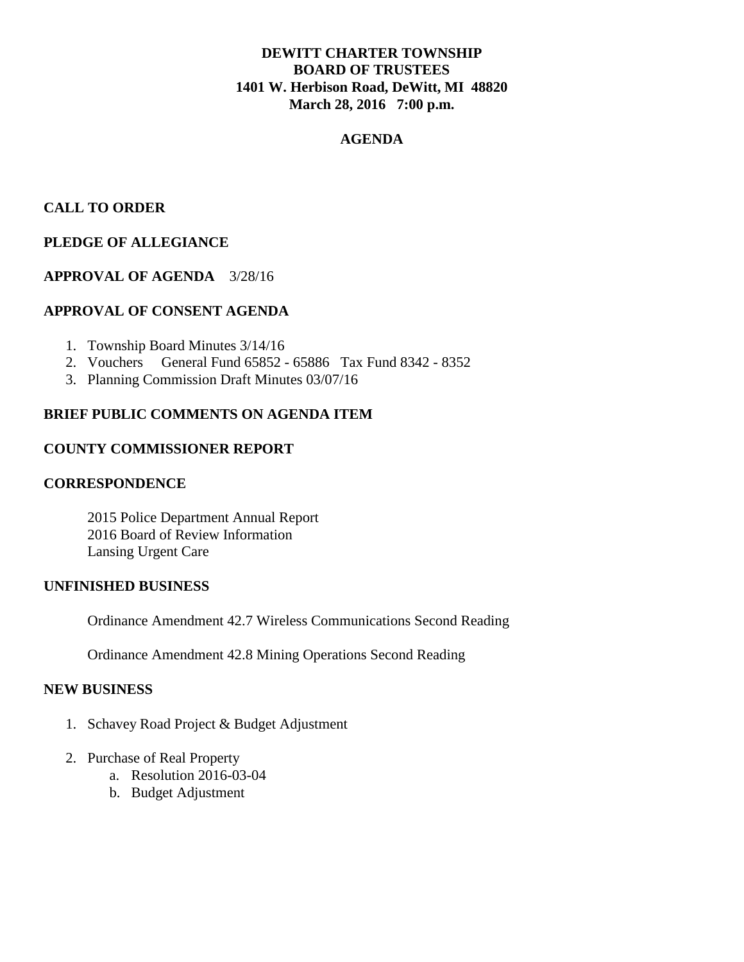## **DEWITT CHARTER TOWNSHIP BOARD OF TRUSTEES 1401 W. Herbison Road, DeWitt, MI 48820 March 28, 2016 7:00 p.m.**

### **AGENDA**

## **CALL TO ORDER**

# **PLEDGE OF ALLEGIANCE**

## **APPROVAL OF AGENDA** 3/28/16

## **APPROVAL OF CONSENT AGENDA**

- 1. Township Board Minutes 3/14/16
- 2. Vouchers General Fund 65852 65886 Tax Fund 8342 8352
- 3. Planning Commission Draft Minutes 03/07/16

## **BRIEF PUBLIC COMMENTS ON AGENDA ITEM**

### **COUNTY COMMISSIONER REPORT**

#### **CORRESPONDENCE**

2015 Police Department Annual Report 2016 Board of Review Information Lansing Urgent Care

#### **UNFINISHED BUSINESS**

Ordinance Amendment 42.7 Wireless Communications Second Reading

Ordinance Amendment 42.8 Mining Operations Second Reading

### **NEW BUSINESS**

- 1. Schavey Road Project & Budget Adjustment
- 2. Purchase of Real Property
	- a. Resolution 2016-03-04
	- b. Budget Adjustment